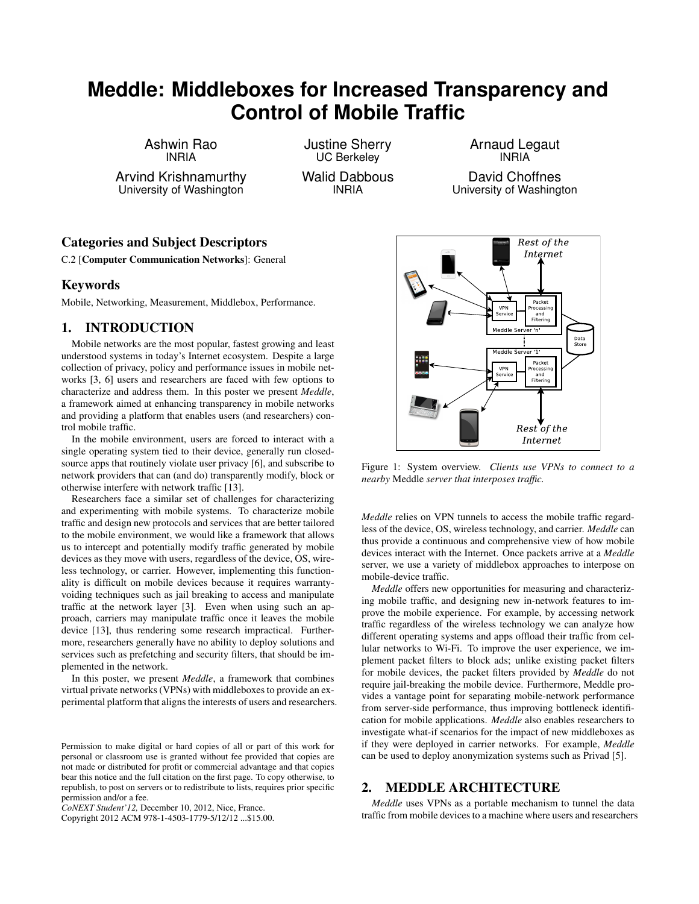# **Meddle: Middleboxes for Increased Transparency and Control of Mobile Traffic**

Ashwin Rao INRIA

Arvind Krishnamurthy University of Washington

Justine Sherry UC Berkeley Walid Dabbous INRIA

Arnaud Legaut INRIA

David Choffnes University of Washington

## Categories and Subject Descriptors

C.2 [Computer Communication Networks]: General

#### Keywords

Mobile, Networking, Measurement, Middlebox, Performance.

### 1. INTRODUCTION

Mobile networks are the most popular, fastest growing and least understood systems in today's Internet ecosystem. Despite a large collection of privacy, policy and performance issues in mobile networks [3, 6] users and researchers are faced with few options to characterize and address them. In this poster we present *Meddle*, a framework aimed at enhancing transparency in mobile networks and providing a platform that enables users (and researchers) control mobile traffic.

In the mobile environment, users are forced to interact with a single operating system tied to their device, generally run closedsource apps that routinely violate user privacy [6], and subscribe to network providers that can (and do) transparently modify, block or otherwise interfere with network traffic [13].

Researchers face a similar set of challenges for characterizing and experimenting with mobile systems. To characterize mobile traffic and design new protocols and services that are better tailored to the mobile environment, we would like a framework that allows us to intercept and potentially modify traffic generated by mobile devices as they move with users, regardless of the device, OS, wireless technology, or carrier. However, implementing this functionality is difficult on mobile devices because it requires warrantyvoiding techniques such as jail breaking to access and manipulate traffic at the network layer [3]. Even when using such an approach, carriers may manipulate traffic once it leaves the mobile device [13], thus rendering some research impractical. Furthermore, researchers generally have no ability to deploy solutions and services such as prefetching and security filters, that should be implemented in the network.

In this poster, we present *Meddle*, a framework that combines virtual private networks (VPNs) with middleboxes to provide an experimental platform that aligns the interests of users and researchers.

Copyright 2012 ACM 978-1-4503-1779-5/12/12 ...\$15.00.

Internet Figure 1: System overview. *Clients use VPNs to connect to a*

*nearby* Meddle *server that interposes traffic.*

mobile-device traffic.

*Meddle* relies on VPN tunnels to access the mobile traffic regardless of the device, OS, wireless technology, and carrier. *Meddle* can thus provide a continuous and comprehensive view of how mobile devices interact with the Internet. Once packets arrive at a *Meddle* server, we use a variety of middlebox approaches to interpose on

*Meddle* offers new opportunities for measuring and characterizing mobile traffic, and designing new in-network features to improve the mobile experience. For example, by accessing network traffic regardless of the wireless technology we can analyze how different operating systems and apps offload their traffic from cellular networks to Wi-Fi. To improve the user experience, we implement packet filters to block ads; unlike existing packet filters for mobile devices, the packet filters provided by *Meddle* do not require jail-breaking the mobile device. Furthermore, Meddle provides a vantage point for separating mobile-network performance from server-side performance, thus improving bottleneck identification for mobile applications. *Meddle* also enables researchers to investigate what-if scenarios for the impact of new middleboxes as if they were deployed in carrier networks. For example, *Meddle* can be used to deploy anonymization systems such as Privad [5].

#### 2. MEDDLE ARCHITECTURE

*Meddle* uses VPNs as a portable mechanism to tunnel the data traffic from mobile devices to a machine where users and researchers



Permission to make digital or hard copies of all or part of this work for personal or classroom use is granted without fee provided that copies are not made or distributed for profit or commercial advantage and that copies bear this notice and the full citation on the first page. To copy otherwise, to republish, to post on servers or to redistribute to lists, requires prior specific permission and/or a fee.

*CoNEXT Student'12,* December 10, 2012, Nice, France.